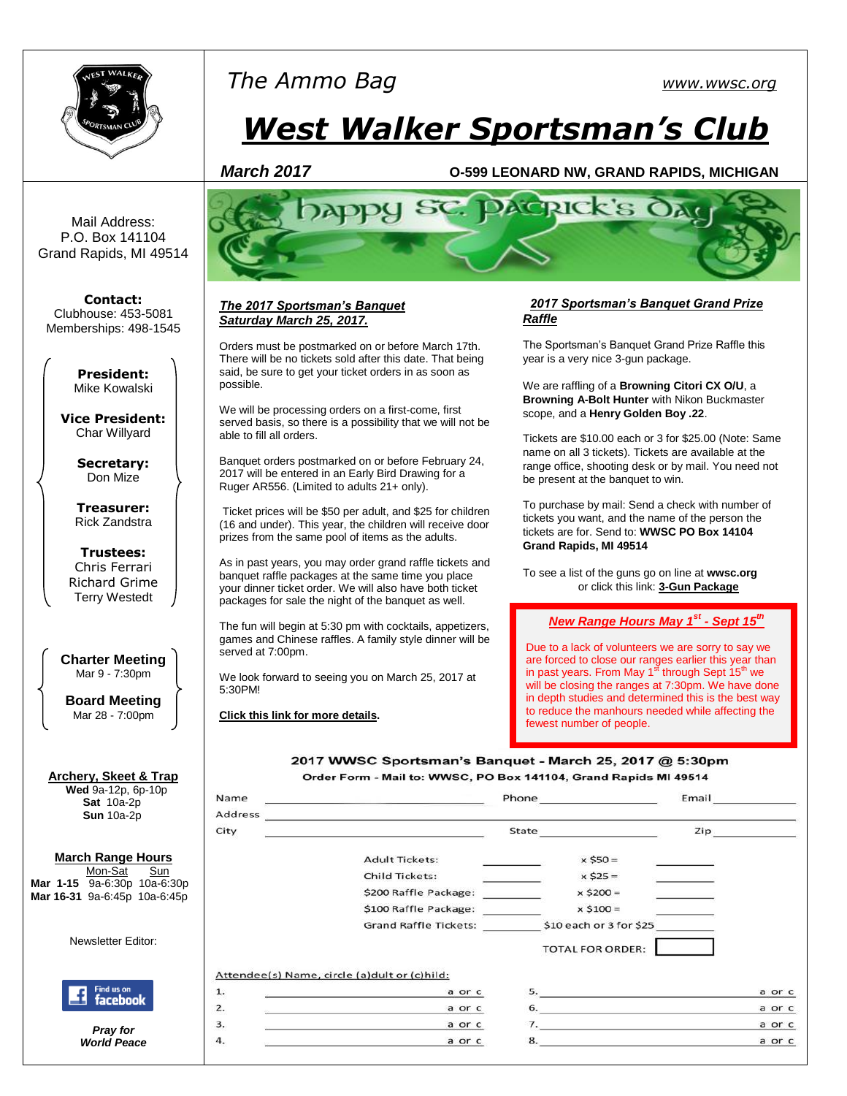

# *The Ammo Bag [www.wwsc.org](http://www.wwsc.org/)*

# *West Walker Sportsman's Club*

#### *March 2017* **O-599 LEONARD NW, GRAND RAPIDS, MICHIGAN**

Mail Address: P.O. Box 141104 Grand Rapids, MI 49514

**Contact:** Clubhouse: 453-5081 Memberships: 498-1545

> **President:** Mike Kowalski

**Vice President:** Char Willyard

> **Secretary:** Don Mize

**Treasurer:** Rick Zandstra

**Trustees:** Chris Ferrari Richard Grime Terry Westedt

**Charter Meeting**  Mar 9 - 7:30pm

**Board Meeting** Mar 28 - 7:00pm

#### **Archery, Skeet & Trap Wed** 9a-12p, 6p-10p

 **Sat** 10a-2p **Sun** 10a-2p

#### **March Range Hours**

Mon-Sat Sun **Mar 1-15** 9a-6:30p 10a-6:30p **Mar 16-31** 9a-6:45p 10a-6:45p

Newsletter Editor:



*Pray for World Peace*



#### *The 2017 Sportsman's Banquet Saturday March 25, 2017.*

Orders must be postmarked on or before March 17th. There will be no tickets sold after this date. That being said, be sure to get your ticket orders in as soon as possible.

We will be processing orders on a first-come, first served basis, so there is a possibility that we will not be able to fill all orders.

Banquet orders postmarked on or before February 24, 2017 will be entered in an Early Bird Drawing for a Ruger AR556. (Limited to adults 21+ only).

Ticket prices will be \$50 per adult, and \$25 for children (16 and under). This year, the children will receive door prizes from the same pool of items as the adults.

As in past years, you may order grand raffle tickets and banquet raffle packages at the same time you place your dinner ticket order. We will also have both ticket packages for sale the night of the banquet as well.

The fun will begin at 5:30 pm with cocktails, appetizers, games and Chinese raffles. A family style dinner will be served at 7:00pm.

We look forward to seeing you on March 25, 2017 at 5:30PM!

**[Click this link for](http://www.wwsc.org/img/archives/2017/2017SB.pdf) more details.**

Name

#### *2017 Sportsman's Banquet Grand Prize Raffle*

The Sportsman's Banquet Grand Prize Raffle this year is a very nice 3-gun package.

We are raffling of a **Browning Citori CX O/U**, a **Browning A-Bolt Hunter** with Nikon Buckmaster scope, and a **Henry Golden Boy .22**.

Tickets are \$10.00 each or 3 for \$25.00 (Note: Same name on all 3 tickets). Tickets are available at the range office, shooting desk or by mail. You need not be present at the banquet to win.

To purchase by mail: Send a check with number of tickets you want, and the name of the person the tickets are for. Send to: **WWSC PO Box 14104 Grand Rapids, MI 49514**

To see a list of the guns go on line at **wwsc.org** or click this link: **[3-Gun Package](http://www.wwsc.org/img/archives/2016/2017.GrandRaffleFlyer.8.5x11.pdf)**

#### *New Range Hours May 1st - Sept 15th*

Due to a lack of volunteers we are sorry to say we are forced to close our ranges earlier this year than<br>in past years. From May 1<sup>st</sup> through Sept 15<sup>th</sup> we will be closing the ranges at 7:30pm. We have done in depth studies and determined this is the best way to reduce the manhours needed while affecting the fewest number of people.

Email

2017 WWSC Sportsman's Banquet - March 25, 2017 @ 5:30pm Order Form - Mail to: WWSC, PO Box 141104, Grand Rapids MI 49514

Phone

| Address | the control of the control of the control of the control of the control of the control of the control of the control of the control of the control of the control of the control of the control of the control of the control |                         |        |  |
|---------|-------------------------------------------------------------------------------------------------------------------------------------------------------------------------------------------------------------------------------|-------------------------|--------|--|
| City    | State                                                                                                                                                                                                                         |                         | Zip    |  |
|         | <b>Adult Tickets:</b>                                                                                                                                                                                                         | $x$ \$50 =              |        |  |
|         | <b>Child Tickets:</b>                                                                                                                                                                                                         | $x $25 =$               |        |  |
|         | \$200 Raffle Package:                                                                                                                                                                                                         | $x$ \$200 =             |        |  |
|         | \$100 Raffle Package:                                                                                                                                                                                                         | $x$ \$100 =             |        |  |
|         | <b>Grand Raffle Tickets:</b>                                                                                                                                                                                                  | \$10 each or 3 for \$25 |        |  |
|         |                                                                                                                                                                                                                               | <b>TOTAL FOR ORDER:</b> |        |  |
|         | Attendee(s) Name, circle (a)dult or (c)hild:                                                                                                                                                                                  |                         |        |  |
| 1.      | a or c                                                                                                                                                                                                                        | 5.                      | a or c |  |
| 2.      | a or c                                                                                                                                                                                                                        | 6.                      | a or c |  |
| з.      | a or c                                                                                                                                                                                                                        | 7. $\qquad \qquad$      | a or c |  |
| 4.      | a or c                                                                                                                                                                                                                        | 8.                      | a or c |  |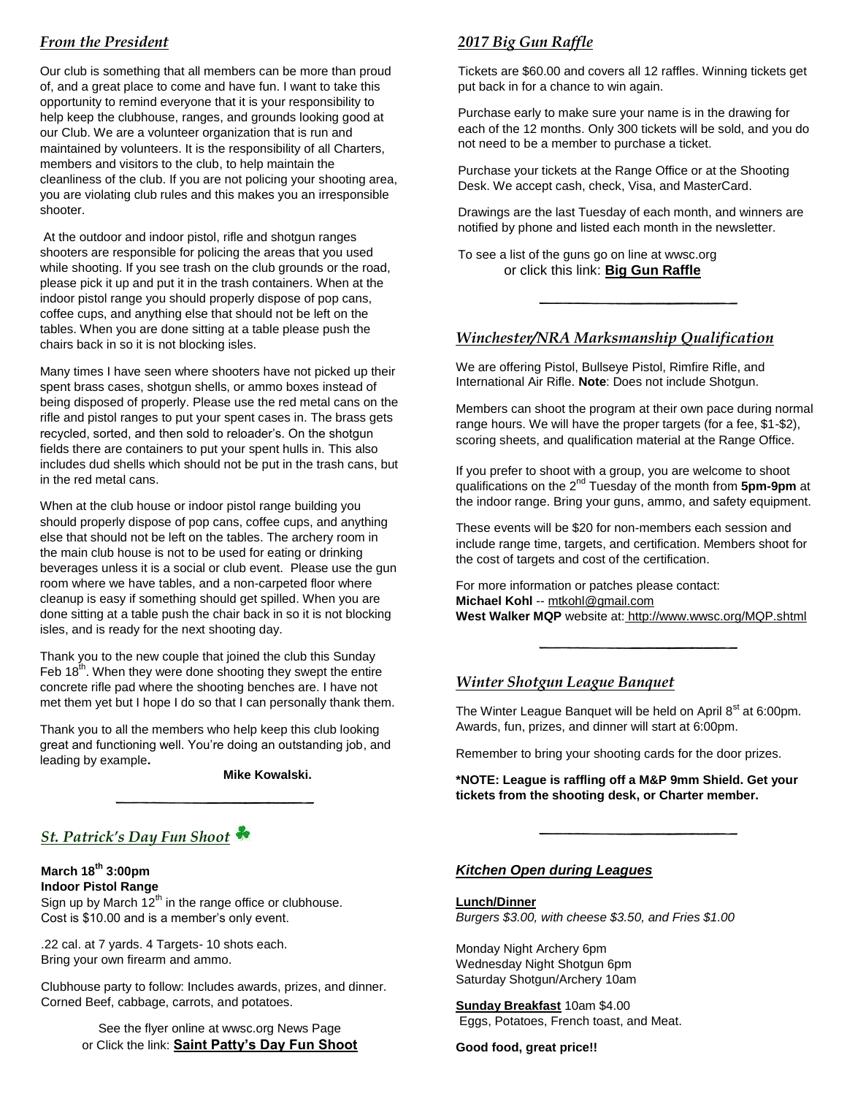# *From the President*

Our club is something that all members can be more than proud of, and a great place to come and have fun. I want to take this opportunity to remind everyone that it is your responsibility to help keep the clubhouse, ranges, and grounds looking good at our Club. We are a volunteer organization that is run and maintained by volunteers. It is the responsibility of all Charters, members and visitors to the club, to help maintain the cleanliness of the club. If you are not policing your shooting area, you are violating club rules and this makes you an irresponsible shooter.

At the outdoor and indoor pistol, rifle and shotgun ranges shooters are responsible for policing the areas that you used while shooting. If you see trash on the club grounds or the road, please pick it up and put it in the trash containers. When at the indoor pistol range you should properly dispose of pop cans, coffee cups, and anything else that should not be left on the tables. When you are done sitting at a table please push the chairs back in so it is not blocking isles.

Many times I have seen where shooters have not picked up their spent brass cases, shotgun shells, or ammo boxes instead of being disposed of properly. Please use the red metal cans on the rifle and pistol ranges to put your spent cases in. The brass gets recycled, sorted, and then sold to reloader's. On the shotgun fields there are containers to put your spent hulls in. This also includes dud shells which should not be put in the trash cans, but in the red metal cans.

When at the club house or indoor pistol range building you should properly dispose of pop cans, coffee cups, and anything else that should not be left on the tables. The archery room in the main club house is not to be used for eating or drinking beverages unless it is a social or club event. Please use the gun room where we have tables, and a non-carpeted floor where cleanup is easy if something should get spilled. When you are done sitting at a table push the chair back in so it is not blocking isles, and is ready for the next shooting day.

Thank you to the new couple that joined the club this Sunday Feb  $18<sup>th</sup>$ . When they were done shooting they swept the entire concrete rifle pad where the shooting benches are. I have not met them yet but I hope I do so that I can personally thank them.

Thank you to all the members who help keep this club looking great and functioning well. You're doing an outstanding job, and leading by example**.** 

 **Mike Kowalski.**

# *St. Patrick's Day Fun Shoot*

**March 18th 3:00pm Indoor Pistol Range** Sign up by March  $12<sup>th</sup>$  in the range office or clubhouse. Cost is \$10.00 and is a member's only event.

.22 cal. at 7 yards. 4 Targets- 10 shots each. Bring your own firearm and ammo.

Clubhouse party to follow: Includes awards, prizes, and dinner. Corned Beef, cabbage, carrots, and potatoes.

> See the flyer online at wwsc.org News Page or Click the link: **[Saint Patty's Day Fun Shoot](http://www.wwsc.org/img/archives/2017/St_Pat_Flyer.pdf)**

# *2017 Big Gun Raffle*

Tickets are \$60.00 and covers all 12 raffles. Winning tickets get put back in for a chance to win again.

Purchase early to make sure your name is in the drawing for each of the 12 months. Only 300 tickets will be sold, and you do not need to be a member to purchase a ticket.

Purchase your tickets at the Range Office or at the Shooting Desk. We accept cash, check, Visa, and MasterCard.

Drawings are the last Tuesday of each month, and winners are notified by phone and listed each month in the newsletter.

To see a list of the guns go on line at wwsc.org or click this link: **[Big Gun Raffle](http://www.wwsc.org/img/archives/2016/2017BGR.16x22.Poster.pdf)**

#### *Winchester/NRA Marksmanship Qualification*

We are offering Pistol, Bullseye Pistol, Rimfire Rifle, and International Air Rifle. **Note**: Does not include Shotgun.

Members can shoot the program at their own pace during normal range hours. We will have the proper targets (for a fee, \$1-\$2), scoring sheets, and qualification material at the Range Office.

If you prefer to shoot with a group, you are welcome to shoot qualifications on the 2nd Tuesday of the month from **5pm-9pm** at the indoor range. Bring your guns, ammo, and safety equipment.

These events will be \$20 for non-members each session and include range time, targets, and certification. Members shoot for the cost of targets and cost of the certification.

For more information or patches please contact: **Michael Kohl** -- [mtkohl@gmail.com](mailto:mtkohl@gmail.com) **West Walker MQP** website at: <http://www.wwsc.org/MQP.shtml>

# *Winter Shotgun League Banquet*

The Winter League Banquet will be held on April  $8<sup>st</sup>$  at 6:00pm. Awards, fun, prizes, and dinner will start at 6:00pm.

Remember to bring your shooting cards for the door prizes.

**\*NOTE: League is raffling off a M&P 9mm Shield. Get your tickets from the shooting desk, or Charter member.**

#### *Kitchen Open during Leagues*

**Lunch/Dinner** *Burgers \$3.00, with cheese \$3.50, and Fries \$1.00*

Monday Night Archery 6pm Wednesday Night Shotgun 6pm Saturday Shotgun/Archery 10am

**Sunday Breakfast** 10am \$4.00 Eggs, Potatoes, French toast, and Meat.

#### **Good food, great price!!**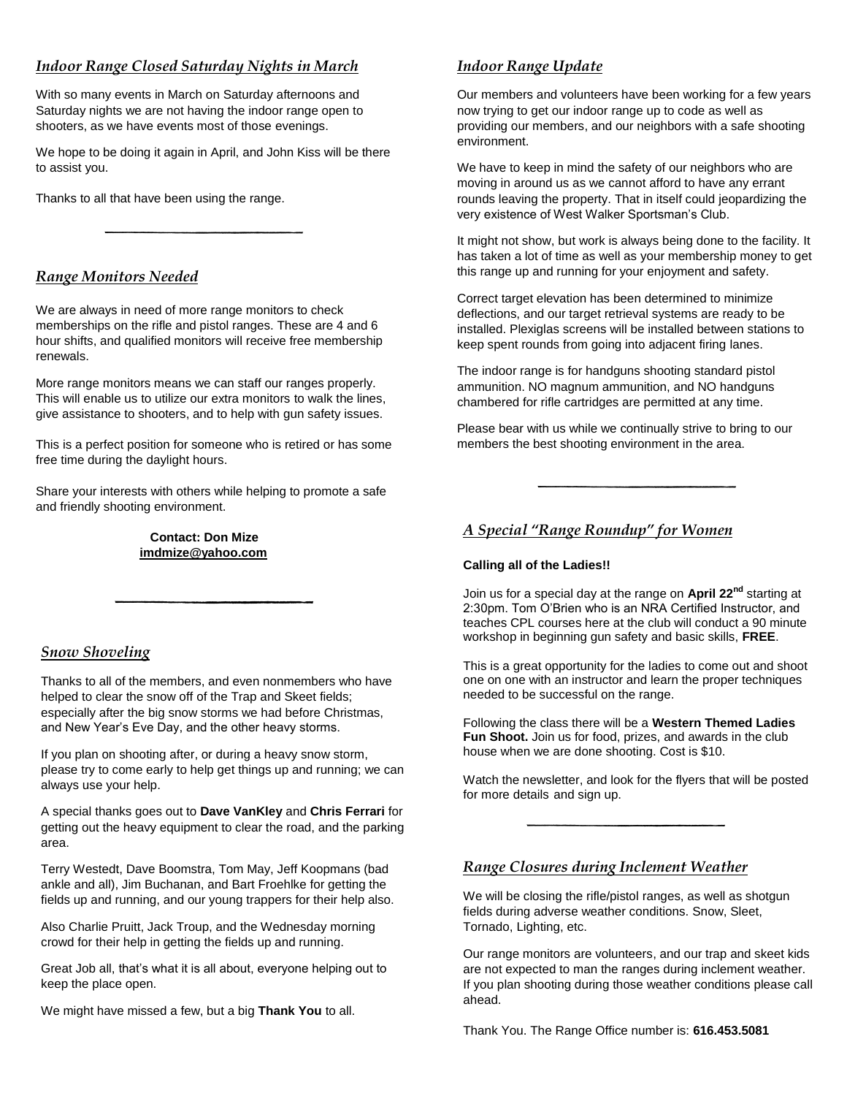### *Indoor Range Closed Saturday Nights in March*

With so many events in March on Saturday afternoons and Saturday nights we are not having the indoor range open to shooters, as we have events most of those evenings.

We hope to be doing it again in April, and John Kiss will be there to assist you.

Thanks to all that have been using the range.

#### *Range Monitors Needed*

We are always in need of more range monitors to check memberships on the rifle and pistol ranges. These are 4 and 6 hour shifts, and qualified monitors will receive free membership renewals.

More range monitors means we can staff our ranges properly. This will enable us to utilize our extra monitors to walk the lines, give assistance to shooters, and to help with gun safety issues.

This is a perfect position for someone who is retired or has some free time during the daylight hours.

Share your interests with others while helping to promote a safe and friendly shooting environment.

> **Contact: Don Mize [imdmize@yahoo.com](mailto:imdmize@yahoo.com)**

#### *Snow Shoveling*

Thanks to all of the members, and even nonmembers who have helped to clear the snow off of the Trap and Skeet fields; especially after the big snow storms we had before Christmas, and New Year's Eve Day, and the other heavy storms.

If you plan on shooting after, or during a heavy snow storm, please try to come early to help get things up and running; we can always use your help.

A special thanks goes out to **Dave VanKley** and **Chris Ferrari** for getting out the heavy equipment to clear the road, and the parking area.

Terry Westedt, Dave Boomstra, Tom May, Jeff Koopmans (bad ankle and all), Jim Buchanan, and Bart Froehlke for getting the fields up and running, and our young trappers for their help also.

Also Charlie Pruitt, Jack Troup, and the Wednesday morning crowd for their help in getting the fields up and running.

Great Job all, that's what it is all about, everyone helping out to keep the place open.

We might have missed a few, but a big **Thank You** to all.

### *Indoor Range Update*

Our members and volunteers have been working for a few years now trying to get our indoor range up to code as well as providing our members, and our neighbors with a safe shooting environment.

We have to keep in mind the safety of our neighbors who are moving in around us as we cannot afford to have any errant rounds leaving the property. That in itself could jeopardizing the very existence of West Walker Sportsman's Club.

It might not show, but work is always being done to the facility. It has taken a lot of time as well as your membership money to get this range up and running for your enjoyment and safety.

Correct target elevation has been determined to minimize deflections, and our target retrieval systems are ready to be installed. Plexiglas screens will be installed between stations to keep spent rounds from going into adjacent firing lanes.

The indoor range is for handguns shooting standard pistol ammunition. NO magnum ammunition, and NO handguns chambered for rifle cartridges are permitted at any time.

Please bear with us while we continually strive to bring to our members the best shooting environment in the area.

### *A Special "Range Roundup" for Women*

#### **Calling all of the Ladies!!**

Join us for a special day at the range on **April 22nd** starting at 2:30pm. Tom O'Brien who is an NRA Certified Instructor, and teaches CPL courses here at the club will conduct a 90 minute workshop in beginning gun safety and basic skills, **FREE**.

This is a great opportunity for the ladies to come out and shoot one on one with an instructor and learn the proper techniques needed to be successful on the range.

Following the class there will be a **Western Themed Ladies Fun Shoot.** Join us for food, prizes, and awards in the club house when we are done shooting. Cost is \$10.

Watch the newsletter, and look for the flyers that will be posted for more details and sign up.

#### *Range Closures during Inclement Weather*

We will be closing the rifle/pistol ranges, as well as shotgun fields during adverse weather conditions. Snow, Sleet, Tornado, Lighting, etc.

Our range monitors are volunteers, and our trap and skeet kids are not expected to man the ranges during inclement weather. If you plan shooting during those weather conditions please call ahead.

Thank You. The Range Office number is: **616.453.5081**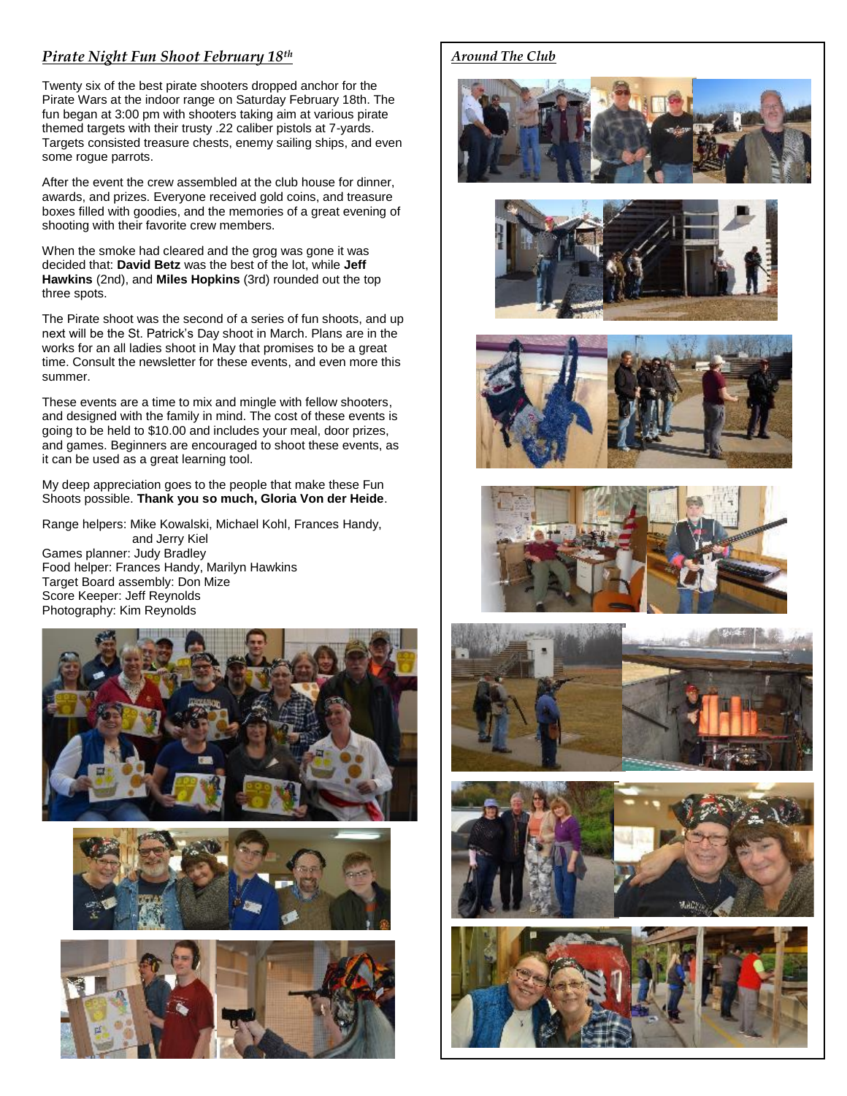#### *Pirate Night Fun Shoot February 18th*

Twenty six of the best pirate shooters dropped anchor for the Pirate Wars at the indoor range on Saturday February 18th. The fun began at 3:00 pm with shooters taking aim at various pirate themed targets with their trusty .22 caliber pistols at 7-yards. Targets consisted treasure chests, enemy sailing ships, and even some rogue parrots.

After the event the crew assembled at the club house for dinner, awards, and prizes. Everyone received gold coins, and treasure boxes filled with goodies, and the memories of a great evening of shooting with their favorite crew members.

When the smoke had cleared and the grog was gone it was decided that: **David Betz** was the best of the lot, while **Jeff Hawkins** (2nd), and **Miles Hopkins** (3rd) rounded out the top three spots.

The Pirate shoot was the second of a series of fun shoots, and up next will be the St. Patrick's Day shoot in March. Plans are in the works for an all ladies shoot in May that promises to be a great time. Consult the newsletter for these events, and even more this summer.

These events are a time to mix and mingle with fellow shooters, and designed with the family in mind. The cost of these events is going to be held to \$10.00 and includes your meal, door prizes, and games. Beginners are encouraged to shoot these events, as it can be used as a great learning tool.

My deep appreciation goes to the people that make these Fun Shoots possible. **Thank you so much, Gloria Von der Heide**.

Range helpers: Mike Kowalski, Michael Kohl, Frances Handy, and Jerry Kiel

Games planner: Judy Bradley Food helper: Frances Handy, Marilyn Hawkins Target Board assembly: Don Mize Score Keeper: Jeff Reynolds Photography: Kim Reynolds







#### *Around The Club*













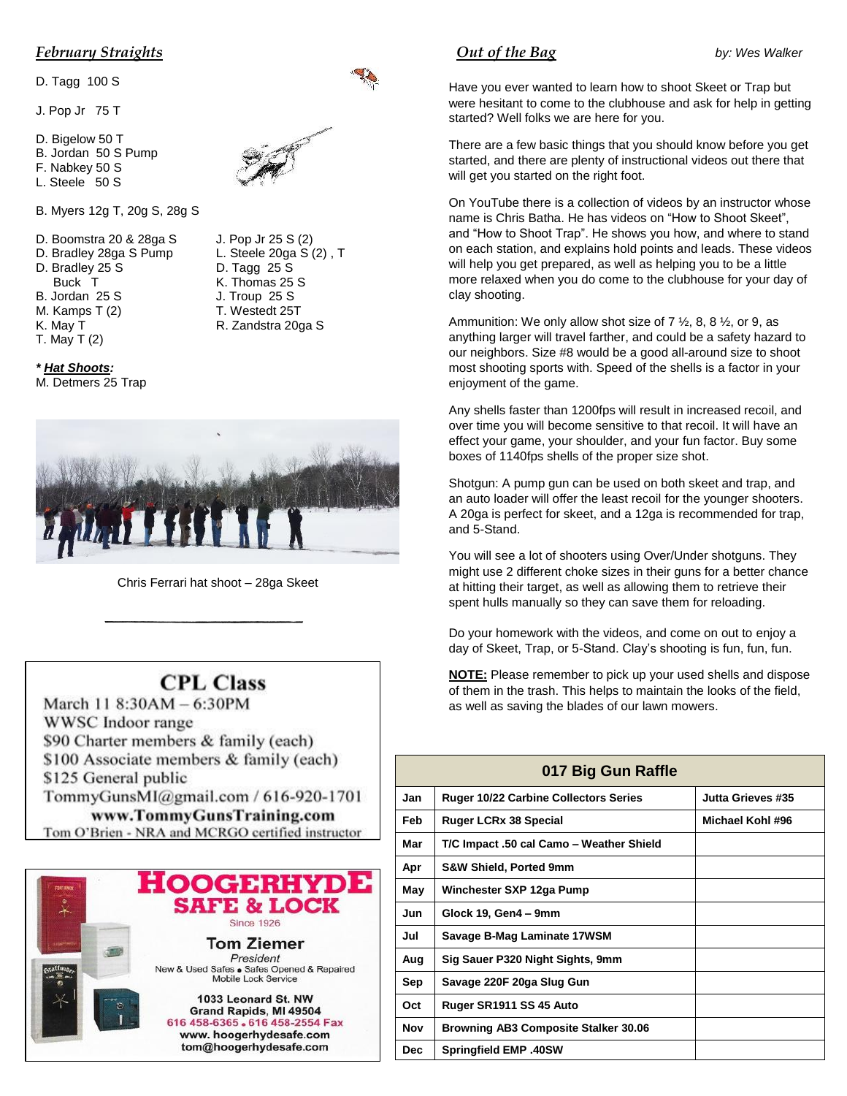#### *February Straights*

D. Tagg 100 S

J. Pop Jr 75 T

- D. Bigelow 50 T
- B. Jordan 50 S Pump
- F. Nabkey 50 S



- B. Myers 12g T, 20g S, 28g S
- D. Boomstra 20 & 28ga S J. Pop Jr 25 S (2) D. Bradley 28ga S Pump L. Steele 20ga S (2), T
- 
- 
- 
- 
- 
- T. May T (2)

*\* Hat Shoots:*



D. Bradley 25 S D. Tagg 25 S Buck T K. Thomas 25 S B. Jordan 25 S J. Troup 25 S M. Kamps T (2) T. Westedt 25T K. May T R. Zandstra 20ga S



Chris Ferrari hat shoot – 28ga Skeet

# **CPL Class**

March 11 8:30AM - 6:30PM WWSC Indoor range \$90 Charter members & family (each) \$100 Associate members & family (each) \$125 General public TommyGunsMI@gmail.com / 616-920-1701 www.TommyGunsTraining.com Tom O'Brien - NRA and MCRGO certified instructor



## *Out of the Bag* by: Wes Walker

Have you ever wanted to learn how to shoot Skeet or Trap but were hesitant to come to the clubhouse and ask for help in getting started? Well folks we are here for you.

There are a few basic things that you should know before you get started, and there are plenty of instructional videos out there that will get you started on the right foot.

On YouTube there is a collection of videos by an instructor whose name is Chris Batha. He has videos on "How to Shoot Skeet", and "How to Shoot Trap". He shows you how, and where to stand on each station, and explains hold points and leads. These videos will help you get prepared, as well as helping you to be a little more relaxed when you do come to the clubhouse for your day of clay shooting.

Ammunition: We only allow shot size of  $7 \frac{1}{2}$ , 8, 8  $\frac{1}{2}$ , or 9, as anything larger will travel farther, and could be a safety hazard to our neighbors. Size #8 would be a good all-around size to shoot most shooting sports with. Speed of the shells is a factor in your enjoyment of the game.

Any shells faster than 1200fps will result in increased recoil, and over time you will become sensitive to that recoil. It will have an effect your game, your shoulder, and your fun factor. Buy some boxes of 1140fps shells of the proper size shot.

Shotgun: A pump gun can be used on both skeet and trap, and an auto loader will offer the least recoil for the younger shooters. A 20ga is perfect for skeet, and a 12ga is recommended for trap, and 5-Stand.

You will see a lot of shooters using Over/Under shotguns. They might use 2 different choke sizes in their guns for a better chance at hitting their target, as well as allowing them to retrieve their spent hulls manually so they can save them for reloading.

Do your homework with the videos, and come on out to enjoy a day of Skeet, Trap, or 5-Stand. Clay's shooting is fun, fun, fun.

**NOTE:** Please remember to pick up your used shells and dispose of them in the trash. This helps to maintain the looks of the field, as well as saving the blades of our lawn mowers.

| 017 Big Gun Raffle |                                              |                   |  |  |  |
|--------------------|----------------------------------------------|-------------------|--|--|--|
| Jan                | <b>Ruger 10/22 Carbine Collectors Series</b> | Jutta Grieves #35 |  |  |  |
| Feb                | <b>Ruger LCRx 38 Special</b>                 | Michael Kohl #96  |  |  |  |
| Mar                | T/C Impact .50 cal Camo - Weather Shield     |                   |  |  |  |
| Apr                | <b>S&amp;W Shield, Ported 9mm</b>            |                   |  |  |  |
| May                | Winchester SXP 12ga Pump                     |                   |  |  |  |
| Jun                | Glock 19, Gen4 - 9mm                         |                   |  |  |  |
| Jul                | Savage B-Mag Laminate 17WSM                  |                   |  |  |  |
| Aug                | Sig Sauer P320 Night Sights, 9mm             |                   |  |  |  |
| Sep                | Savage 220F 20ga Slug Gun                    |                   |  |  |  |
| Oct                | Ruger SR1911 SS 45 Auto                      |                   |  |  |  |
| Nov                | Browning AB3 Composite Stalker 30.06         |                   |  |  |  |
| <b>Dec</b>         | <b>Springfield EMP .40SW</b>                 |                   |  |  |  |